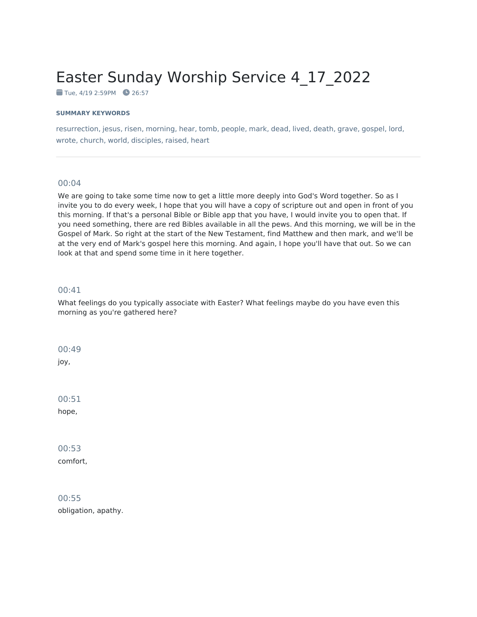# Easter Sunday Worship Service 4\_17\_2022

 $T$ ue, 4/19 2:59PM  $26:57$ 

#### **SUMMARY KEYWORDS**

resurrection, jesus, risen, morning, hear, tomb, people, mark, dead, lived, death, grave, gospel, lord, wrote, church, world, disciples, raised, heart

## 00:04

We are going to take some time now to get a little more deeply into God's Word together. So as I invite you to do every week, I hope that you will have a copy of scripture out and open in front of you this morning. If that's a personal Bible or Bible app that you have, I would invite you to open that. If you need something, there are red Bibles available in all the pews. And this morning, we will be in the Gospel of Mark. So right at the start of the New Testament, find Matthew and then mark, and we'll be at the very end of Mark's gospel here this morning. And again, I hope you'll have that out. So we can look at that and spend some time in it here together.

#### 00:41

What feelings do you typically associate with Easter? What feelings maybe do you have even this morning as you're gathered here?

00:49

joy,

00:51

hope,

00:53 comfort,

00:55 obligation, apathy.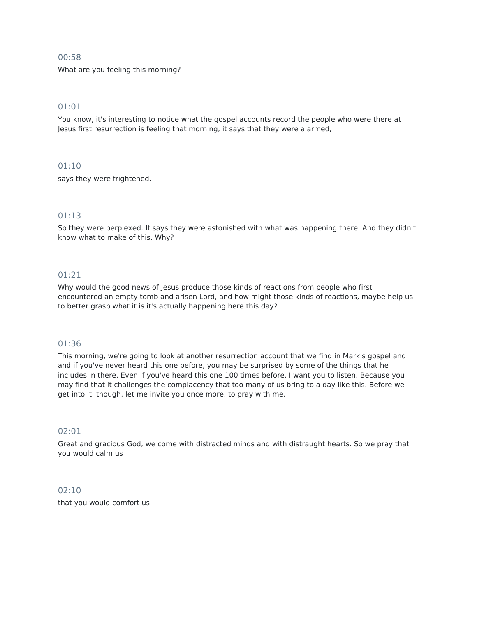What are you feeling this morning?

# 01:01

You know, it's interesting to notice what the gospel accounts record the people who were there at Jesus first resurrection is feeling that morning, it says that they were alarmed,

## 01:10

says they were frightened.

# 01:13

So they were perplexed. It says they were astonished with what was happening there. And they didn't know what to make of this. Why?

## 01:21

Why would the good news of Jesus produce those kinds of reactions from people who first encountered an empty tomb and arisen Lord, and how might those kinds of reactions, maybe help us to better grasp what it is it's actually happening here this day?

## 01:36

This morning, we're going to look at another resurrection account that we find in Mark's gospel and and if you've never heard this one before, you may be surprised by some of the things that he includes in there. Even if you've heard this one 100 times before, I want you to listen. Because you may find that it challenges the complacency that too many of us bring to a day like this. Before we get into it, though, let me invite you once more, to pray with me.

# 02:01

Great and gracious God, we come with distracted minds and with distraught hearts. So we pray that you would calm us

# 02:10

that you would comfort us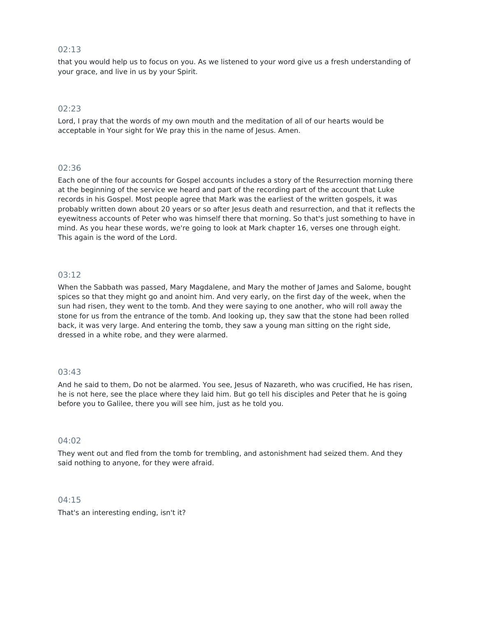that you would help us to focus on you. As we listened to your word give us a fresh understanding of your grace, and live in us by your Spirit.

# 02:23

Lord, I pray that the words of my own mouth and the meditation of all of our hearts would be acceptable in Your sight for We pray this in the name of Jesus. Amen.

## 02:36

Each one of the four accounts for Gospel accounts includes a story of the Resurrection morning there at the beginning of the service we heard and part of the recording part of the account that Luke records in his Gospel. Most people agree that Mark was the earliest of the written gospels, it was probably written down about 20 years or so after Jesus death and resurrection, and that it reflects the eyewitness accounts of Peter who was himself there that morning. So that's just something to have in mind. As you hear these words, we're going to look at Mark chapter 16, verses one through eight. This again is the word of the Lord.

## 03:12

When the Sabbath was passed, Mary Magdalene, and Mary the mother of James and Salome, bought spices so that they might go and anoint him. And very early, on the first day of the week, when the sun had risen, they went to the tomb. And they were saying to one another, who will roll away the stone for us from the entrance of the tomb. And looking up, they saw that the stone had been rolled back, it was very large. And entering the tomb, they saw a young man sitting on the right side, dressed in a white robe, and they were alarmed.

## 03:43

And he said to them, Do not be alarmed. You see, Jesus of Nazareth, who was crucified, He has risen, he is not here, see the place where they laid him. But go tell his disciples and Peter that he is going before you to Galilee, there you will see him, just as he told you.

## 04:02

They went out and fled from the tomb for trembling, and astonishment had seized them. And they said nothing to anyone, for they were afraid.

#### 04:15

That's an interesting ending, isn't it?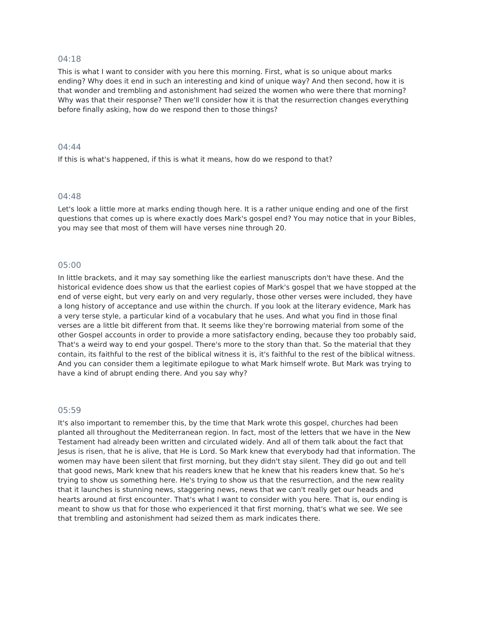This is what I want to consider with you here this morning. First, what is so unique about marks ending? Why does it end in such an interesting and kind of unique way? And then second, how it is that wonder and trembling and astonishment had seized the women who were there that morning? Why was that their response? Then we'll consider how it is that the resurrection changes everything before finally asking, how do we respond then to those things?

## 04:44

If this is what's happened, if this is what it means, how do we respond to that?

#### 04:48

Let's look a little more at marks ending though here. It is a rather unique ending and one of the first questions that comes up is where exactly does Mark's gospel end? You may notice that in your Bibles, you may see that most of them will have verses nine through 20.

#### 05:00

In little brackets, and it may say something like the earliest manuscripts don't have these. And the historical evidence does show us that the earliest copies of Mark's gospel that we have stopped at the end of verse eight, but very early on and very regularly, those other verses were included, they have a long history of acceptance and use within the church. If you look at the literary evidence, Mark has a very terse style, a particular kind of a vocabulary that he uses. And what you find in those final verses are a little bit different from that. It seems like they're borrowing material from some of the other Gospel accounts in order to provide a more satisfactory ending, because they too probably said, That's a weird way to end your gospel. There's more to the story than that. So the material that they contain, its faithful to the rest of the biblical witness it is, it's faithful to the rest of the biblical witness. And you can consider them a legitimate epilogue to what Mark himself wrote. But Mark was trying to have a kind of abrupt ending there. And you say why?

#### 05:59

It's also important to remember this, by the time that Mark wrote this gospel, churches had been planted all throughout the Mediterranean region. In fact, most of the letters that we have in the New Testament had already been written and circulated widely. And all of them talk about the fact that Jesus is risen, that he is alive, that He is Lord. So Mark knew that everybody had that information. The women may have been silent that first morning, but they didn't stay silent. They did go out and tell that good news, Mark knew that his readers knew that he knew that his readers knew that. So he's trying to show us something here. He's trying to show us that the resurrection, and the new reality that it launches is stunning news, staggering news, news that we can't really get our heads and hearts around at first encounter. That's what I want to consider with you here. That is, our ending is meant to show us that for those who experienced it that first morning, that's what we see. We see that trembling and astonishment had seized them as mark indicates there.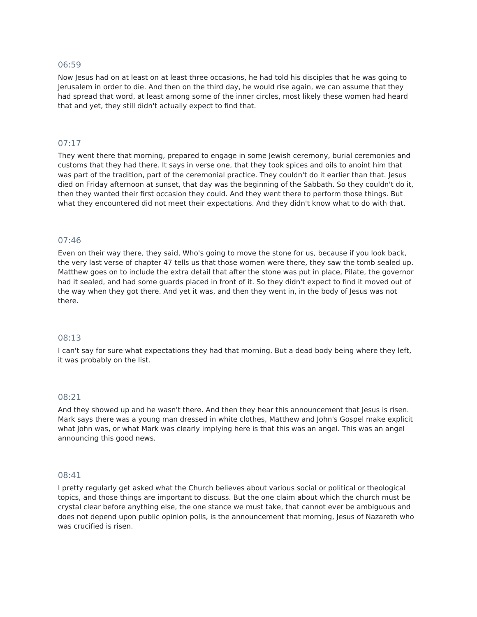Now Jesus had on at least on at least three occasions, he had told his disciples that he was going to Jerusalem in order to die. And then on the third day, he would rise again, we can assume that they had spread that word, at least among some of the inner circles, most likely these women had heard that and yet, they still didn't actually expect to find that.

# 07:17

They went there that morning, prepared to engage in some Jewish ceremony, burial ceremonies and customs that they had there. It says in verse one, that they took spices and oils to anoint him that was part of the tradition, part of the ceremonial practice. They couldn't do it earlier than that. Jesus died on Friday afternoon at sunset, that day was the beginning of the Sabbath. So they couldn't do it, then they wanted their first occasion they could. And they went there to perform those things. But what they encountered did not meet their expectations. And they didn't know what to do with that.

#### 07:46

Even on their way there, they said, Who's going to move the stone for us, because if you look back, the very last verse of chapter 47 tells us that those women were there, they saw the tomb sealed up. Matthew goes on to include the extra detail that after the stone was put in place, Pilate, the governor had it sealed, and had some guards placed in front of it. So they didn't expect to find it moved out of the way when they got there. And yet it was, and then they went in, in the body of Jesus was not there.

#### 08:13

I can't say for sure what expectations they had that morning. But a dead body being where they left, it was probably on the list.

#### 08:21

And they showed up and he wasn't there. And then they hear this announcement that Jesus is risen. Mark says there was a young man dressed in white clothes, Matthew and John's Gospel make explicit what John was, or what Mark was clearly implying here is that this was an angel. This was an angel announcing this good news.

#### 08:41

I pretty regularly get asked what the Church believes about various social or political or theological topics, and those things are important to discuss. But the one claim about which the church must be crystal clear before anything else, the one stance we must take, that cannot ever be ambiguous and does not depend upon public opinion polls, is the announcement that morning, Jesus of Nazareth who was crucified is risen.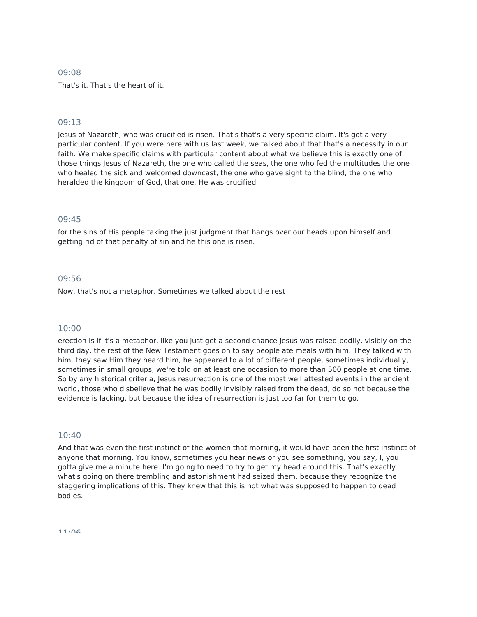That's it. That's the heart of it.

## 09:13

Jesus of Nazareth, who was crucified is risen. That's that's a very specific claim. It's got a very particular content. If you were here with us last week, we talked about that that's a necessity in our faith. We make specific claims with particular content about what we believe this is exactly one of those things Jesus of Nazareth, the one who called the seas, the one who fed the multitudes the one who healed the sick and welcomed downcast, the one who gave sight to the blind, the one who heralded the kingdom of God, that one. He was crucified

# 09:45

for the sins of His people taking the just judgment that hangs over our heads upon himself and getting rid of that penalty of sin and he this one is risen.

## 09:56

Now, that's not a metaphor. Sometimes we talked about the rest

## 10:00

erection is if it's a metaphor, like you just get a second chance Jesus was raised bodily, visibly on the third day, the rest of the New Testament goes on to say people ate meals with him. They talked with him, they saw Him they heard him, he appeared to a lot of different people, sometimes individually, sometimes in small groups, we're told on at least one occasion to more than 500 people at one time. So by any historical criteria, Jesus resurrection is one of the most well attested events in the ancient world, those who disbelieve that he was bodily invisibly raised from the dead, do so not because the evidence is lacking, but because the idea of resurrection is just too far for them to go.

# 10:40

And that was even the first instinct of the women that morning, it would have been the first instinct of anyone that morning. You know, sometimes you hear news or you see something, you say, I, you gotta give me a minute here. I'm going to need to try to get my head around this. That's exactly what's going on there trembling and astonishment had seized them, because they recognize the staggering implications of this. They knew that this is not what was supposed to happen to dead bodies.

11:06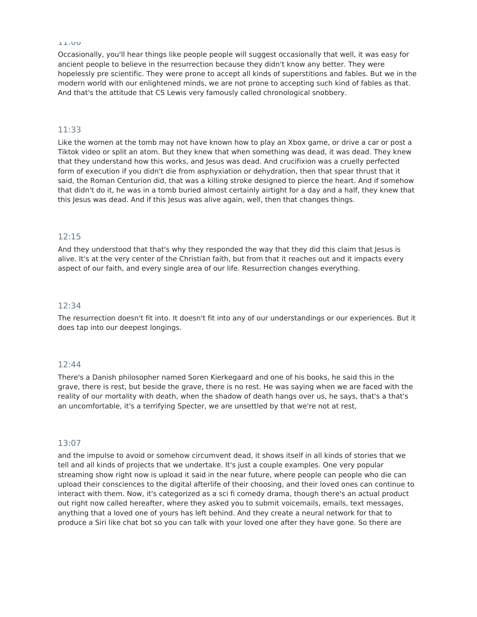Occasionally, you'll hear things like people people will suggest occasionally that well, it was easy for ancient people to believe in the resurrection because they didn't know any better. They were hopelessly pre scientific. They were prone to accept all kinds of superstitions and fables. But we in the modern world with our enlightened minds, we are not prone to accepting such kind of fables as that. And that's the attitude that CS Lewis very famously called chronological snobbery.

#### 11:33

Like the women at the tomb may not have known how to play an Xbox game, or drive a car or post a Tiktok video or split an atom. But they knew that when something was dead, it was dead. They knew that they understand how this works, and Jesus was dead. And crucifixion was a cruelly perfected form of execution if you didn't die from asphyxiation or dehydration, then that spear thrust that it said, the Roman Centurion did, that was a killing stroke designed to pierce the heart. And if somehow that didn't do it, he was in a tomb buried almost certainly airtight for a day and a half, they knew that this Jesus was dead. And if this Jesus was alive again, well, then that changes things.

# 12:15

And they understood that that's why they responded the way that they did this claim that Jesus is alive. It's at the very center of the Christian faith, but from that it reaches out and it impacts every aspect of our faith, and every single area of our life. Resurrection changes everything.

#### 12:34

The resurrection doesn't fit into. It doesn't fit into any of our understandings or our experiences. But it does tap into our deepest longings.

#### 12:44

There's a Danish philosopher named Soren Kierkegaard and one of his books, he said this in the grave, there is rest, but beside the grave, there is no rest. He was saying when we are faced with the reality of our mortality with death, when the shadow of death hangs over us, he says, that's a that's an uncomfortable, it's a terrifying Specter, we are unsettled by that we're not at rest,

#### 13:07

and the impulse to avoid or somehow circumvent dead, it shows itself in all kinds of stories that we tell and all kinds of projects that we undertake. It's just a couple examples. One very popular streaming show right now is upload it said in the near future, where people can people who die can upload their consciences to the digital afterlife of their choosing, and their loved ones can continue to interact with them. Now, it's categorized as a sci fi comedy drama, though there's an actual product out right now called hereafter, where they asked you to submit voicemails, emails, text messages, anything that a loved one of yours has left behind. And they create a neural network for that to produce a Siri like chat bot so you can talk with your loved one after they have gone. So there are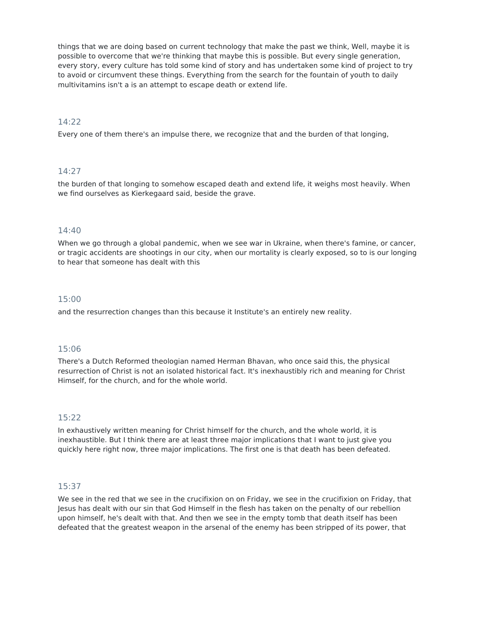things that we are doing based on current technology that make the past we think, Well, maybe it is possible to overcome that we're thinking that maybe this is possible. But every single generation, every story, every culture has told some kind of story and has undertaken some kind of project to try to avoid or circumvent these things. Everything from the search for the fountain of youth to daily multivitamins isn't a is an attempt to escape death or extend life.

## 14:22

Every one of them there's an impulse there, we recognize that and the burden of that longing,

## 14:27

the burden of that longing to somehow escaped death and extend life, it weighs most heavily. When we find ourselves as Kierkegaard said, beside the grave.

# 14:40

When we go through a global pandemic, when we see war in Ukraine, when there's famine, or cancer, or tragic accidents are shootings in our city, when our mortality is clearly exposed, so to is our longing to hear that someone has dealt with this

## 15:00

and the resurrection changes than this because it Institute's an entirely new reality.

## 15:06

There's a Dutch Reformed theologian named Herman Bhavan, who once said this, the physical resurrection of Christ is not an isolated historical fact. It's inexhaustibly rich and meaning for Christ Himself, for the church, and for the whole world.

## 15:22

In exhaustively written meaning for Christ himself for the church, and the whole world, it is inexhaustible. But I think there are at least three major implications that I want to just give you quickly here right now, three major implications. The first one is that death has been defeated.

## 15:37

We see in the red that we see in the crucifixion on on Friday, we see in the crucifixion on Friday, that Jesus has dealt with our sin that God Himself in the flesh has taken on the penalty of our rebellion upon himself, he's dealt with that. And then we see in the empty tomb that death itself has been defeated that the greatest weapon in the arsenal of the enemy has been stripped of its power, that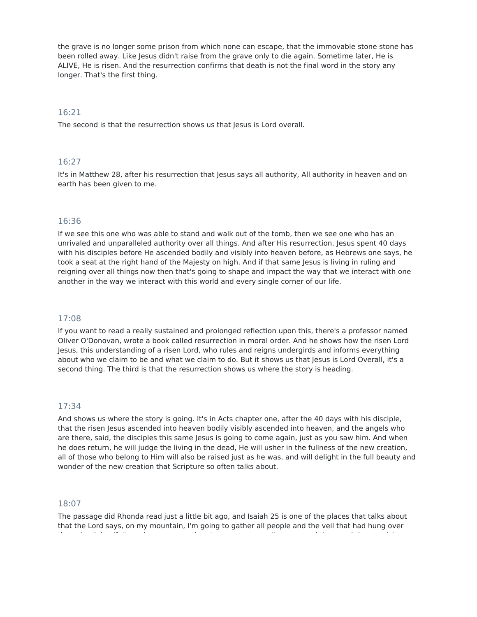the grave is no longer some prison from which none can escape, that the immovable stone stone has been rolled away. Like Jesus didn't raise from the grave only to die again. Sometime later, He is ALIVE, He is risen. And the resurrection confirms that death is not the final word in the story any longer. That's the first thing.

# 16:21

The second is that the resurrection shows us that Jesus is Lord overall.

## 16:27

It's in Matthew 28, after his resurrection that Jesus says all authority, All authority in heaven and on earth has been given to me.

## 16:36

If we see this one who was able to stand and walk out of the tomb, then we see one who has an unrivaled and unparalleled authority over all things. And after His resurrection, Jesus spent 40 days with his disciples before He ascended bodily and visibly into heaven before, as Hebrews one says, he took a seat at the right hand of the Majesty on high. And if that same Jesus is living in ruling and reigning over all things now then that's going to shape and impact the way that we interact with one another in the way we interact with this world and every single corner of our life.

## 17:08

If you want to read a really sustained and prolonged reflection upon this, there's a professor named Oliver O'Donovan, wrote a book called resurrection in moral order. And he shows how the risen Lord Jesus, this understanding of a risen Lord, who rules and reigns undergirds and informs everything about who we claim to be and what we claim to do. But it shows us that Jesus is Lord Overall, it's a second thing. The third is that the resurrection shows us where the story is heading.

## 17:34

And shows us where the story is going. It's in Acts chapter one, after the 40 days with his disciple, that the risen Jesus ascended into heaven bodily visibly ascended into heaven, and the angels who are there, said, the disciples this same Jesus is going to come again, just as you saw him. And when he does return, he will judge the living in the dead, He will usher in the fullness of the new creation, all of those who belong to Him will also be raised just as he was, and will delight in the full beauty and wonder of the new creation that Scripture so often talks about.

## 18:07

The passage did Rhonda read just a little bit ago, and Isaiah 25 is one of the places that talks about that the Lord says, on my mountain, I'm going to gather all people and the veil that had hung over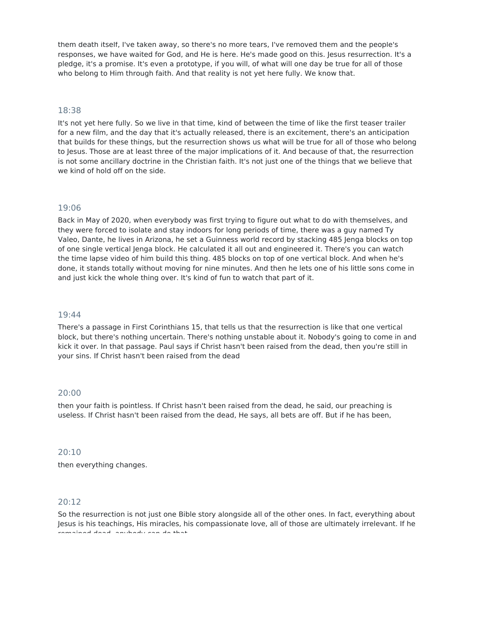them death itself, I've taken away, so there's no more tears, I've removed them and the people's responses, we have waited for God, and He is here. He's made good on this. Jesus resurrection. It's a pledge, it's a promise. It's even a prototype, if you will, of what will one day be true for all of those who belong to Him through faith. And that reality is not yet here fully. We know that.

# 18:38

It's not yet here fully. So we live in that time, kind of between the time of like the first teaser trailer for a new film, and the day that it's actually released, there is an excitement, there's an anticipation that builds for these things, but the resurrection shows us what will be true for all of those who belong to Jesus. Those are at least three of the major implications of it. And because of that, the resurrection is not some ancillary doctrine in the Christian faith. It's not just one of the things that we believe that we kind of hold off on the side.

## 19:06

Back in May of 2020, when everybody was first trying to figure out what to do with themselves, and they were forced to isolate and stay indoors for long periods of time, there was a guy named Ty Valeo, Dante, he lives in Arizona, he set a Guinness world record by stacking 485 Jenga blocks on top of one single vertical Jenga block. He calculated it all out and engineered it. There's you can watch the time lapse video of him build this thing. 485 blocks on top of one vertical block. And when he's done, it stands totally without moving for nine minutes. And then he lets one of his little sons come in and just kick the whole thing over. It's kind of fun to watch that part of it.

## 19:44

There's a passage in First Corinthians 15, that tells us that the resurrection is like that one vertical block, but there's nothing uncertain. There's nothing unstable about it. Nobody's going to come in and kick it over. In that passage. Paul says if Christ hasn't been raised from the dead, then you're still in your sins. If Christ hasn't been raised from the dead

#### 20:00

then your faith is pointless. If Christ hasn't been raised from the dead, he said, our preaching is useless. If Christ hasn't been raised from the dead, He says, all bets are off. But if he has been,

#### 20:10

then everything changes.

## 20:12

So the resurrection is not just one Bible story alongside all of the other ones. In fact, everything about Jesus is his teachings, His miracles, his compassionate love, all of those are ultimately irrelevant. If he remained dead, anybody can do that.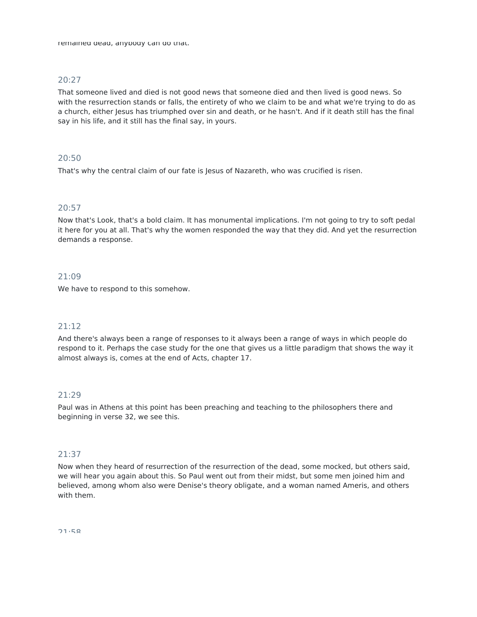remained dead, anybody can do that.

## 20:27

That someone lived and died is not good news that someone died and then lived is good news. So with the resurrection stands or falls, the entirety of who we claim to be and what we're trying to do as a church, either Jesus has triumphed over sin and death, or he hasn't. And if it death still has the final say in his life, and it still has the final say, in yours.

## 20:50

That's why the central claim of our fate is Jesus of Nazareth, who was crucified is risen.

# 20:57

Now that's Look, that's a bold claim. It has monumental implications. I'm not going to try to soft pedal it here for you at all. That's why the women responded the way that they did. And yet the resurrection demands a response.

## 21:09

We have to respond to this somehow.

# 21:12

And there's always been a range of responses to it always been a range of ways in which people do respond to it. Perhaps the case study for the one that gives us a little paradigm that shows the way it almost always is, comes at the end of Acts, chapter 17.

## 21:29

Paul was in Athens at this point has been preaching and teaching to the philosophers there and beginning in verse 32, we see this.

## 21:37

Now when they heard of resurrection of the resurrection of the dead, some mocked, but others said, we will hear you again about this. So Paul went out from their midst, but some men joined him and believed, among whom also were Denise's theory obligate, and a woman named Ameris, and others with them.

 $71.58$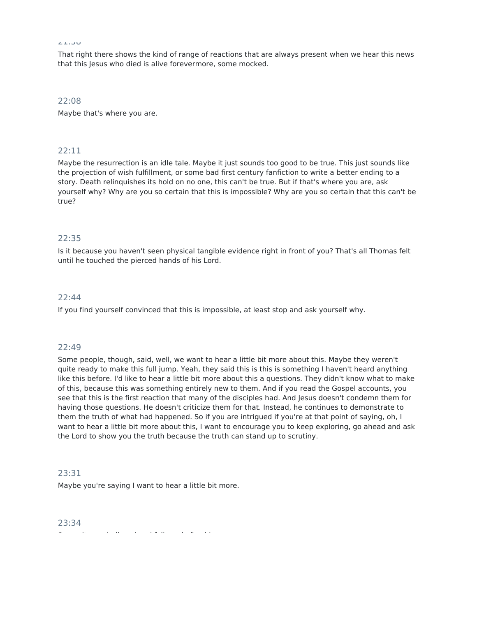That right there shows the kind of range of reactions that are always present when we hear this news that this Jesus who died is alive forevermore, some mocked.

22:08 Maybe that's where you are.

# 22:11

Maybe the resurrection is an idle tale. Maybe it just sounds too good to be true. This just sounds like the projection of wish fulfillment, or some bad first century fanfiction to write a better ending to a story. Death relinquishes its hold on no one, this can't be true. But if that's where you are, ask yourself why? Why are you so certain that this is impossible? Why are you so certain that this can't be true?

# 22:35

Is it because you haven't seen physical tangible evidence right in front of you? That's all Thomas felt until he touched the pierced hands of his Lord.

## 22:44

If you find yourself convinced that this is impossible, at least stop and ask yourself why.

## 22:49

Some people, though, said, well, we want to hear a little bit more about this. Maybe they weren't quite ready to make this full jump. Yeah, they said this is this is something I haven't heard anything like this before. I'd like to hear a little bit more about this a questions. They didn't know what to make of this, because this was something entirely new to them. And if you read the Gospel accounts, you see that this is the first reaction that many of the disciples had. And Jesus doesn't condemn them for having those questions. He doesn't criticize them for that. Instead, he continues to demonstrate to them the truth of what had happened. So if you are intrigued if you're at that point of saying, oh, I want to hear a little bit more about this, I want to encourage you to keep exploring, go ahead and ask the Lord to show you the truth because the truth can stand up to scrutiny.

#### 23:31

Maybe you're saying I want to hear a little bit more.

23:34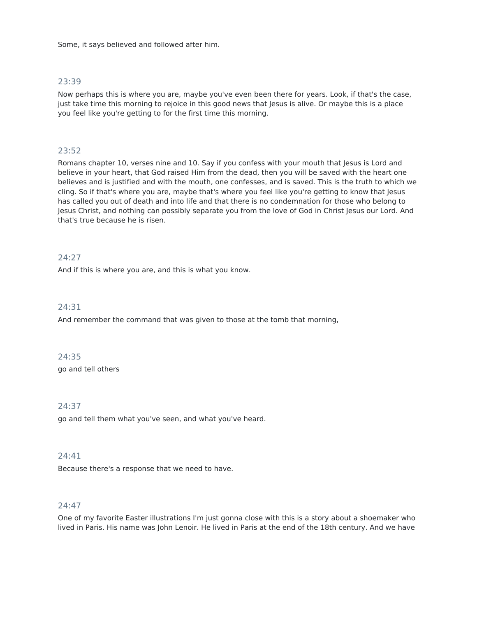Some, it says believed and followed after him.

## 23:39

Now perhaps this is where you are, maybe you've even been there for years. Look, if that's the case, just take time this morning to rejoice in this good news that Jesus is alive. Or maybe this is a place you feel like you're getting to for the first time this morning.

# 23:52

Romans chapter 10, verses nine and 10. Say if you confess with your mouth that Jesus is Lord and believe in your heart, that God raised Him from the dead, then you will be saved with the heart one believes and is justified and with the mouth, one confesses, and is saved. This is the truth to which we cling. So if that's where you are, maybe that's where you feel like you're getting to know that Jesus has called you out of death and into life and that there is no condemnation for those who belong to Jesus Christ, and nothing can possibly separate you from the love of God in Christ Jesus our Lord. And that's true because he is risen.

# 24:27

And if this is where you are, and this is what you know.

# 24:31

And remember the command that was given to those at the tomb that morning,

## 24:35

go and tell others

## 24:37

go and tell them what you've seen, and what you've heard.

# 24:41

Because there's a response that we need to have.

## 24:47

One of my favorite Easter illustrations I'm just gonna close with this is a story about a shoemaker who lived in Paris. His name was John Lenoir. He lived in Paris at the end of the 18th century. And we have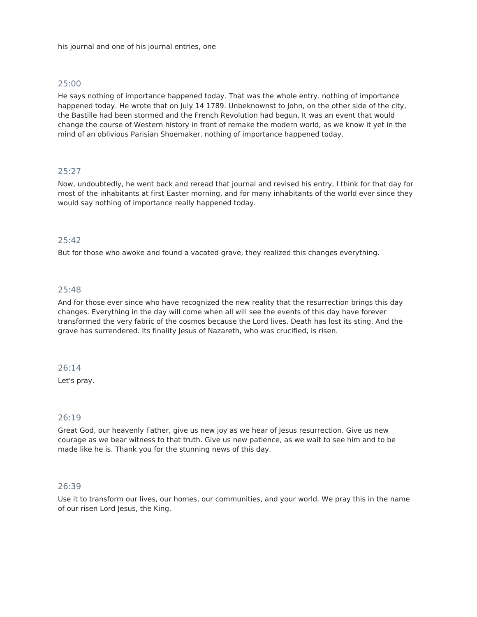He says nothing of importance happened today. That was the whole entry. nothing of importance happened today. He wrote that on July 14 1789. Unbeknownst to John, on the other side of the city, the Bastille had been stormed and the French Revolution had begun. It was an event that would change the course of Western history in front of remake the modern world, as we know it yet in the mind of an oblivious Parisian Shoemaker. nothing of importance happened today.

# 25:27

Now, undoubtedly, he went back and reread that journal and revised his entry, I think for that day for most of the inhabitants at first Easter morning, and for many inhabitants of the world ever since they would say nothing of importance really happened today.

# 25:42

But for those who awoke and found a vacated grave, they realized this changes everything.

#### 25:48

And for those ever since who have recognized the new reality that the resurrection brings this day changes. Everything in the day will come when all will see the events of this day have forever transformed the very fabric of the cosmos because the Lord lives. Death has lost its sting. And the grave has surrendered. Its finality Jesus of Nazareth, who was crucified, is risen.

#### 26:14

Let's pray.

## 26:19

Great God, our heavenly Father, give us new joy as we hear of Jesus resurrection. Give us new courage as we bear witness to that truth. Give us new patience, as we wait to see him and to be made like he is. Thank you for the stunning news of this day.

#### 26:39

Use it to transform our lives, our homes, our communities, and your world. We pray this in the name of our risen Lord Jesus, the King.